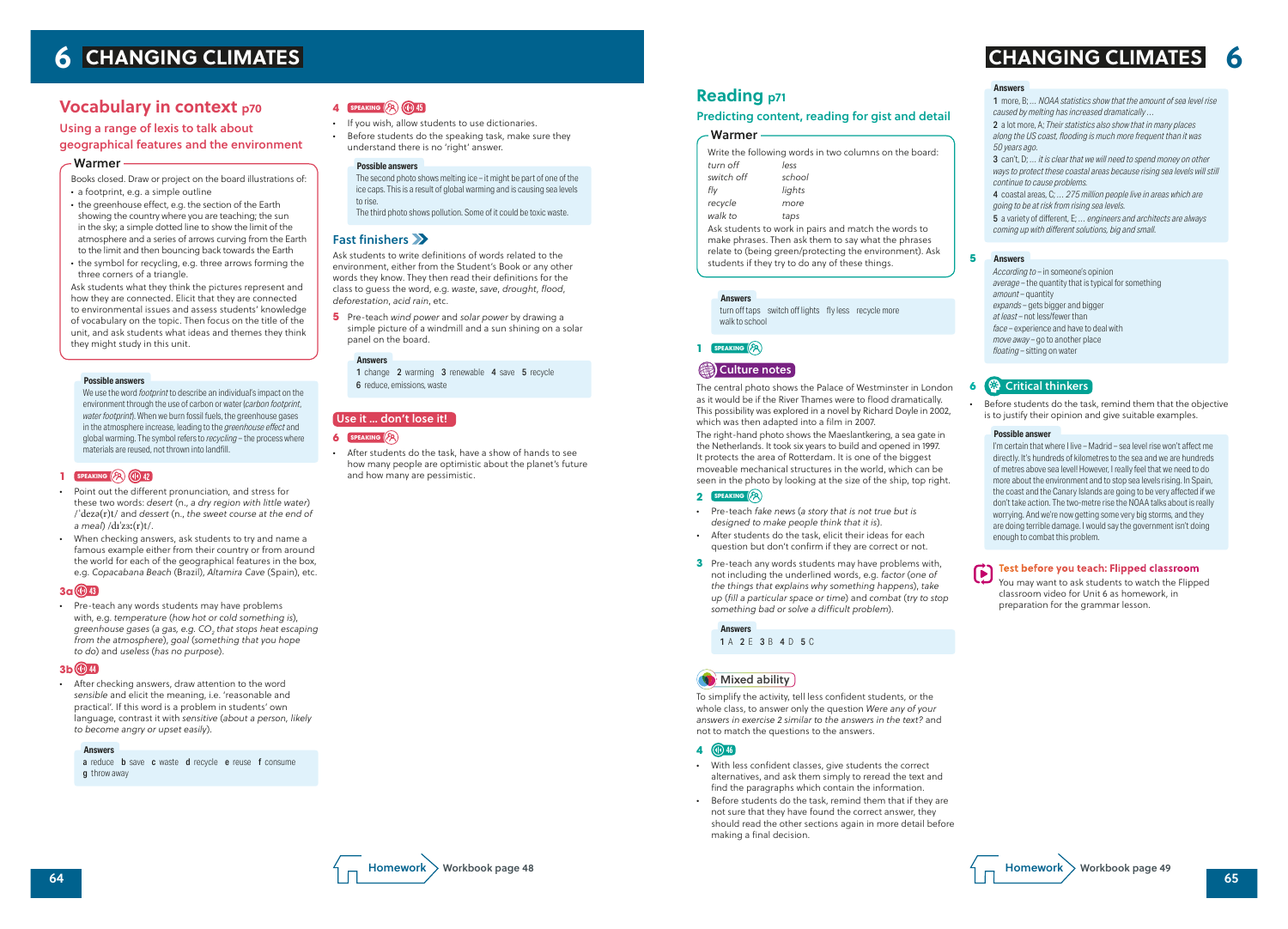# **Vocabulary in context p70**

### Using a range of lexis to talk about geographical features and the environment

Books closed. Draw or project on the board illustrations of:

- *•* a footprint, e.g. a simple outline
- *•* the greenhouse effect, e.g. the section of the Earth showing the country where you are teaching; the sun in the sky; a simple dotted line to show the limit of the atmosphere and a series of arrows curving from the Earth to the limit and then bouncing back towards the Earth
- *•* the symbol for recycling, e.g. three arrows forming the three corners of a triangle.

Ask students what they think the pictures represent and how they are connected. Elicit that they are connected to environmental issues and assess students' knowledge of vocabulary on the topic. Then focus on the title of the unit, and ask students what ideas and themes they think they might study in this unit.

#### Warmer

We use the word *footprint* to describe an individual's impact on the environment through the use of carbon or water (*carbon footprint*, *water footprint*). When we burn fossil fuels, the greenhouse gases in the atmosphere increase, leading to the *greenhouse effect* and global warming. The symbol refers to *recycling* – the process where materials are reused, not thrown into landfill.

### **1 SPEAKING**  $(\sqrt{2})$  (10) 42

#### **Possible answers**

- *•* Point out the different pronunciation, and stress for these two words: *desert* (n., *a dry region with little water*) / ˈdezə(r)t/ and *dessert* (n., *the sweet course at the end of a meal*) /dɪˈzɜː(r)t/.
- *•* When checking answers, ask students to try and name a famous example either from their country or from around the world for each of the geographical features in the box, e.g. *Copacabana Beach* (Brazil), *Altamira Cave* (Spain), etc.

1 change 2 warming 3 renewable 4 save 5 recycle 6 reduce, emissions, waste

### **3a 43**

*•* Pre-teach any words students may have problems with, e.g. *temperature* (*how hot or cold something is*), *greenhouse gases* (*a gas, e.g. CO<sup>2</sup> that stops heat escaping from the atmosphere*), *goal* (*something that you hope to do*) and *useless* (*has no purpose*).

#### **3b 44**

*•* After checking answers, draw attention to the word *sensible* and elicit the meaning, i.e. 'reasonable and practical'. If this word is a problem in students' own language, contrast it with *sensitive* (*about a person, likely to become angry or upset easily*).

#### **Answers**

a reduce **b** save **c** waste **d** recycle **e** reuse **f** consume **g** throw away

### **4 SPEAKING 45**

- *•* If you wish, allow students to use dictionaries.
- *•* Before students do the speaking task, make sure they understand there is no 'right' answer.

- The second photo shows melting ice it might be part of one of the ice caps. This is a result of global warming and is causing sea levels to rise.
- The third photo shows pollution. Some of it could be toxic waste.

### Fast finishers XX

#### **Possible answers**

Ask students to write definitions of words related to the environment, either from the Student's Book or any other words they know. They then read their definitions for the class to guess the word, e.g. *waste*, *save*, *drought*, *flood*, *deforestation*, *acid rain*, etc.

**5** Pre-teach *wind power* and *solar power* by drawing a simple picture of a windmill and a sun shining on a solar panel on the board.

#### **Answers**

#### Use it … don't lose it!

**6 SPEAKING**  $\left(\sqrt{2}\right)$ 

*•* After students do the task, have a show of hands to see how many people are optimistic about the planet's future and how many are pessimistic.

1 more, B; *… NOAA statistics show that the amount of sea level rise caused by melting has increased dramatically …*

2 a lot more, A; *Their statistics also show that in many places along the US coast, flooding is much more frequent than it was 50 years ago.*

3 can't, D; *… it is clear that we will need to spend money on other ways to protect these coastal areas because rising sea levels will still continue to cause problems.*

4 coastal areas, C; *… 275 million people live in areas which are going to be at risk from rising sea levels.*

5 a variety of different, E; *… engineers and architects are always coming up with different solutions, big and small.*

#### **Answers**

*According to* – in someone's opinion *average* – the quantity that is typical for something *amount* – quantity *expands* – gets bigger and bigger *at least* – not less/fewer than *face* – experience and have to deal with *move away* – go to another place *floating* – sitting on water

#### **Answers**

### **6** Critical thinkers

*•* Before students do the task, remind them that the objective is to justify their opinion and give suitable examples.

I'm certain that where I live – Madrid – sea level rise won't affect me directly. It's hundreds of kilometres to the sea and we are hundreds of metres above sea level! However, I really feel that we need to do more about the environment and to stop sea levels rising. In Spain, the coast and the Canary Islands are going to be very affected if we don't take action. The two-metre rise the NOAA talks about is really worrying. And we're now getting some very big storms, and they are doing terrible damage. I would say the government isn't doing enough to combat this problem.

 $\boldsymbol{\Theta}$ 

#### **Possible answer**

#### **Test before you teach: Flipped classroom**

You may want to ask students to watch the Flipped classroom video for Unit 6 as homework, in preparation for the grammar lesson.

**5**

# **Reading p71**

#### Predicting content, reading for gist and detail

| Write the following words in two columns on the board: |        |
|--------------------------------------------------------|--------|
| turn off                                               | less   |
| switch off                                             | school |
| fly                                                    | lights |
| recycle                                                | more   |
| walk to                                                | taps   |
| Ask students to work in pairs and match the words to   |        |

make phrases. Then ask them to say what the phrases relate to (being green/protecting the environment). Ask students if they try to do any of these things.

#### Warmer

turn off taps switch off lights fly less recycle more walk to school

#### **Answers**

### **1 SPEAKING**

## **Culture notes**

The central photo shows the Palace of Westminster in London as it would be if the River Thames were to flood dramatically. This possibility was explored in a novel by Richard Doyle in 2002, which was then adapted into a film in 2007.

The right-hand photo shows the Maeslantkering, a sea gate in the Netherlands. It took six years to build and opened in 1997. It protects the area of Rotterdam. It is one of the biggest moveable mechanical structures in the world, which can be seen in the photo by looking at the size of the ship, top right.

#### **2 SPEAKING**

- *•* Pre-teach *fake news* (*a story that is not true but is designed to make people think that it is*).
- *•* After students do the task, elicit their ideas for each question but don't confirm if they are correct or not.
- **3** Pre-teach any words students may have problems with, not including the underlined words, e.g. *factor* (*one of the things that explains why something happens*), *take up* (*fill a particular space or time*) and *combat* (*try to stop something bad or solve a difficult problem*).

1 A 2 E 3 B 4 D 5 C **Answers**

# **W** Mixed ability

To simplify the activity, tell less confident students, or the whole class, to answer only the question *Were any of your answers in exercise 2 similar to the answers in the text?* and not to match the questions to the answers.

## **4 46**

- *•* With less confident classes, give students the correct alternatives, and ask them simply to reread the text and find the paragraphs which contain the information.
- *•* Before students do the task, remind them that if they are not sure that they have found the correct answer, they should read the other sections again in more detail before making a final decision.

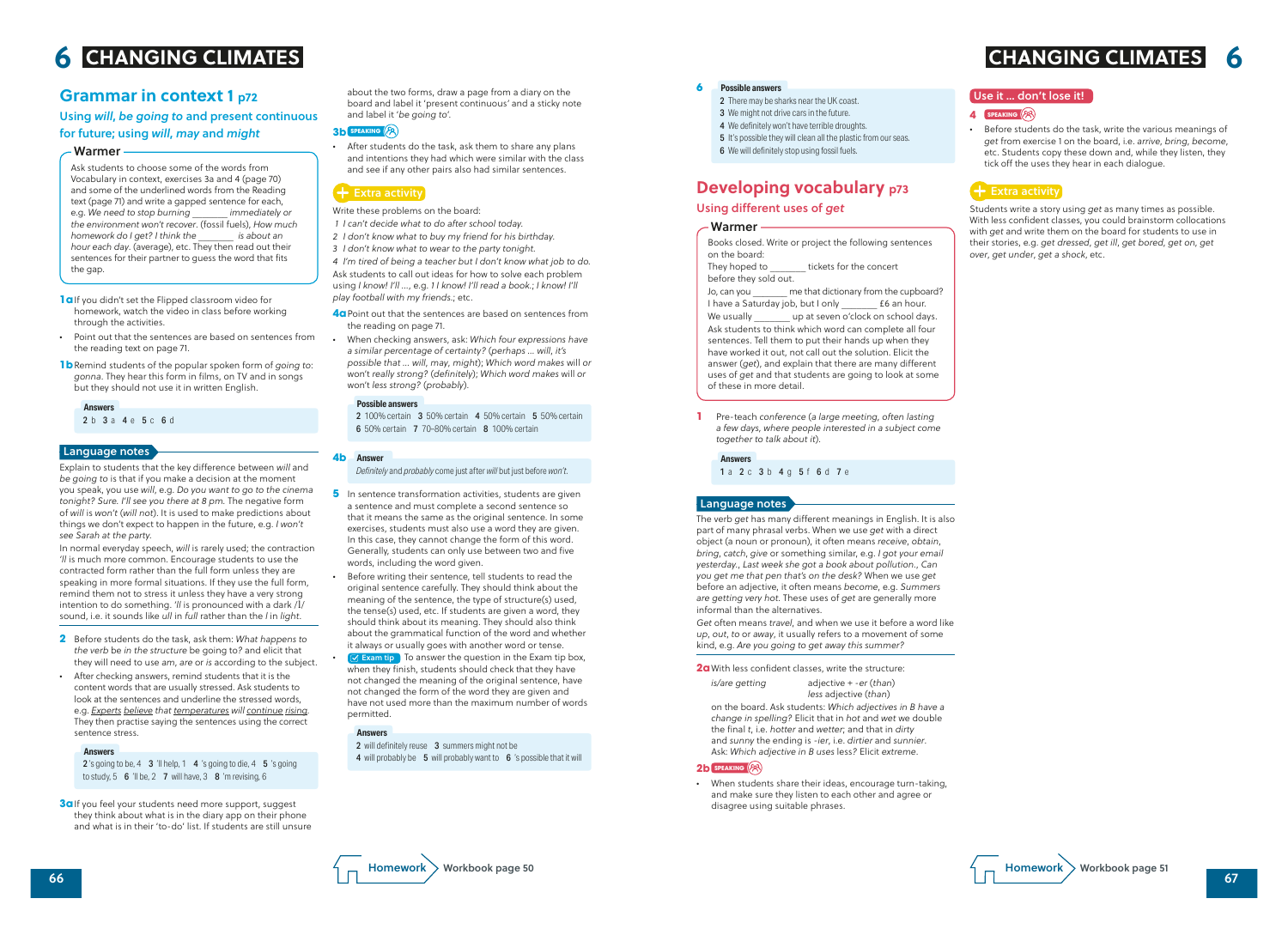about the two forms, draw a page from a diary on the board and label it 'present continuous*'* and a sticky note and label it '*be going to*'.

#### **3b SPEAKING**

*•* After students do the task, ask them to share any plans and intentions they had which were similar with the class and see if any other pairs also had similar sentences.

## $\div$  Extra activity

Write these problems on the board:

- *1 I can't decide what to do after school today.*
- *2 I don't know what to buy my friend for his birthday.*
- *3 I don't know what to wear to the party tonight.*

*4 I'm tired of being a teacher but I don't know what job to do.* Ask students to call out ideas for how to solve each problem using *I know! I'll …*, e.g. *1 I know! I'll read a book.*; *I know! I'll play football with my friends.*; etc.

- **4a** Point out that the sentences are based on sentences from the reading on page 71.
- *•* When checking answers, ask: *Which four expressions have a similar percentage of certainty?* (*perhaps … will*, *it's possible that … will*, *may*, *might*); *Which word makes* will *or*  won't *really strong?* (*definitely*); *Which word makes* will *or*  won't *less strong?* (*probably*).

- **5** In sentence transformation activities, students are given a sentence and must complete a second sentence so that it means the same as the original sentence. In some exercises, students must also use a word they are given. In this case, they cannot change the form of this word. Generally, students can only use between two and five words, including the word given.
- *•* Before writing their sentence, tell students to read the original sentence carefully. They should think about the meaning of the sentence, the type of structure(s) used, the tense(s) used, etc. If students are given a word, they should think about its meaning. They should also think about the grammatical function of the word and whether it always or usually goes with another word or tense.

**••** Exam tip To answer the question in the Exam tip box, when they finish, students should check that they have not changed the meaning of the original sentence, have not changed the form of the word they are given and have not used more than the maximum number of words permitted.

2 100% certain 3 50% certain 4 50% certain 5 50% certain 6 50% certain 7 70–80% certain 8 100% certain

#### **Possible answers**

*Definitely* and *probably* come just after *will* but just before *won't*.

#### **Answer 4b**

#### **Answers**

2 will definitely reuse 3 summers might not be 4 will probably be 5 will probably want to 6 's possible that it will

# **Grammar in context 1 p72**

**3a** If you feel your students need more support, suggest they think about what is in the diary app on their phone and what is in their 'to-do' list. If students are still unsure

### Using *will*, *be going to* and present continuous for future; using *will*, *may* and *might*

Ask students to choose some of the words from Vocabulary in context, exercises 3a and 4 (page 70) and some of the underlined words from the Reading text (page 71) and write a gapped sentence for each,<br>e.g. We need to stop burning immediately or e.g. We need to stop burning *the environment won't recover*. (fossil fuels), *How much homework do I get? I think the hour each day*. (average), etc. They then read out their sentences for their partner to guess the word that fits the gap.

- 2 There may be sharks near the UK coast.
- 3 We might not drive cars in the future.
- 4 We definitely won't have terrible droughts.
- 5 It's possible they will clean all the plastic from our seas.
- 6 We will definitely stop using fossil fuels.

#### Warmer

- **1a**If you didn't set the Flipped classroom video for homework, watch the video in class before working through the activities.
- *•* Point out that the sentences are based on sentences from the reading text on page 71.
- **1b** Remind students of the popular spoken form of *going to*: *gonna*. They hear this form in films, on TV and in songs but they should not use it in written English.

**Answers**

2 b 3 a 4 e 5 c 6 d

Explain to students that the key difference between *will* and *be going to* is that if you make a decision at the moment you speak, you use *will*, e.g. *Do you want to go to the cinema tonight? Sure. I'll see you there at 8 pm.* The negative form of *will* is *won't* (*will not*). It is used to make predictions about things we don't expect to happen in the future, e.g. *I won't see Sarah at the party.*



In normal everyday speech, *will* is rarely used; the contraction *'ll* is much more common. Encourage students to use the contracted form rather than the full form unless they are speaking in more formal situations. If they use the full form, remind them not to stress it unless they have a very strong intention to do something. *'ll* is pronounced with a dark /l/ sound, i.e. it sounds like *ull* in *full* rather than the *l* in *light*.

- **2** Before students do the task, ask them: *What happens to the verb* be *in the structure* be going to*?* and elicit that they will need to use *am*, *are* or *is* according to the subject.
- *•* After checking answers, remind students that it is the content words that are usually stressed. Ask students to look at the sentences and underline the stressed words, e.g. *Experts believe that temperatures will continue rising.* They then practise saying the sentences using the correct sentence stress.

#### **Answers**

2's going to be, 4  $3$  'll help, 1  $4$  's going to die, 4  $5$  's going to study,  $5 \cdot 6$  'll be,  $2 \cdot 7$  will have,  $3 \cdot 8$  'm revising,  $6 \cdot$ 

#### Language notes



#### **4 SPEAKING**

*•* Before students do the task, write the various meanings of *get* from exercise 1 on the board, i.e. *arrive*, *bring*, *become*, etc. Students copy these down and, while they listen, they tick off the uses they hear in each dialogue.

### $\left\vert \mathbf{+}\right\vert$  Extra activity

Students write a story using *get* as many times as possible. With less confident classes, you could brainstorm collocations with *get* and write them on the board for students to use in their stories, e.g. *get dressed*, *get ill*, *get bored*, *get on*, *get over*, *get under*, *get a shock*, etc.

# **Developing vocabulary p73**

### Using different uses of *get*

Books closed. Write or project the following sentences on the board: They hoped to **tickets** for the concert before they sold out. Jo, can you *\_\_\_\_\_\_\_* me that dictionary from the cupboard? I have a Saturday job, but I only **E**6 an hour. We usually **Latter Up at seven o'clock on school days.** Ask students to think which word can complete all four sentences. Tell them to put their hands up when they have worked it out, not call out the solution. Elicit the answer (*get*), and explain that there are many different uses of *get* and that students are going to look at some of these in more detail.

#### Warmer

**1** Pre-teach *conference* (*a large meeting, often lasting a few days, where people interested in a subject come together to talk about it*).

#### **Answers**

1 a 2 c 3 b 4 g 5 f 6 d 7 e

#### **Possible answers 6**

The verb *get* has many different meanings in English. It is also part of many phrasal verbs. When we use *get* with a direct object (a noun or pronoun), it often means *receive*, *obtain*, *bring*, *catch*, *give* or something similar, e.g. *I got your email yesterday.*, *Last week she got a book about pollution.*, *Can you get me that pen that's on the desk?* When we use *get* before an adjective, it often means *become*, e.g. *Summers are getting very hot.* These uses of *get* are generally more informal than the alternatives.

*Get* often means *travel*, and when we use it before a word like *up*, *out*, *to* or *away*, it usually refers to a movement of some kind, e.g. *Are you going to get away this summer?*

**2a**With less confident classes, write the structure:

 *is/are getting* adjective + *-er* (*than*) *less* adjective (*than*)

 on the board. Ask students: *Which adjectives in B have a change in spelling?* Elicit that in *hot* and *wet* we double the final *t*, i.e. *hotter* and *wetter*; and that in *dirty* and *sunny* the ending is *-ier*, i.e. *dirtier* and *sunnier*. Ask: *Which adjective in B uses* less*?* Elicit *extreme*.

#### **2b SPEAKING** ( $^{68}$ )

*•* When students share their ideas, encourage turn-taking, and make sure they listen to each other and agree or disagree using suitable phrases.

#### Language notes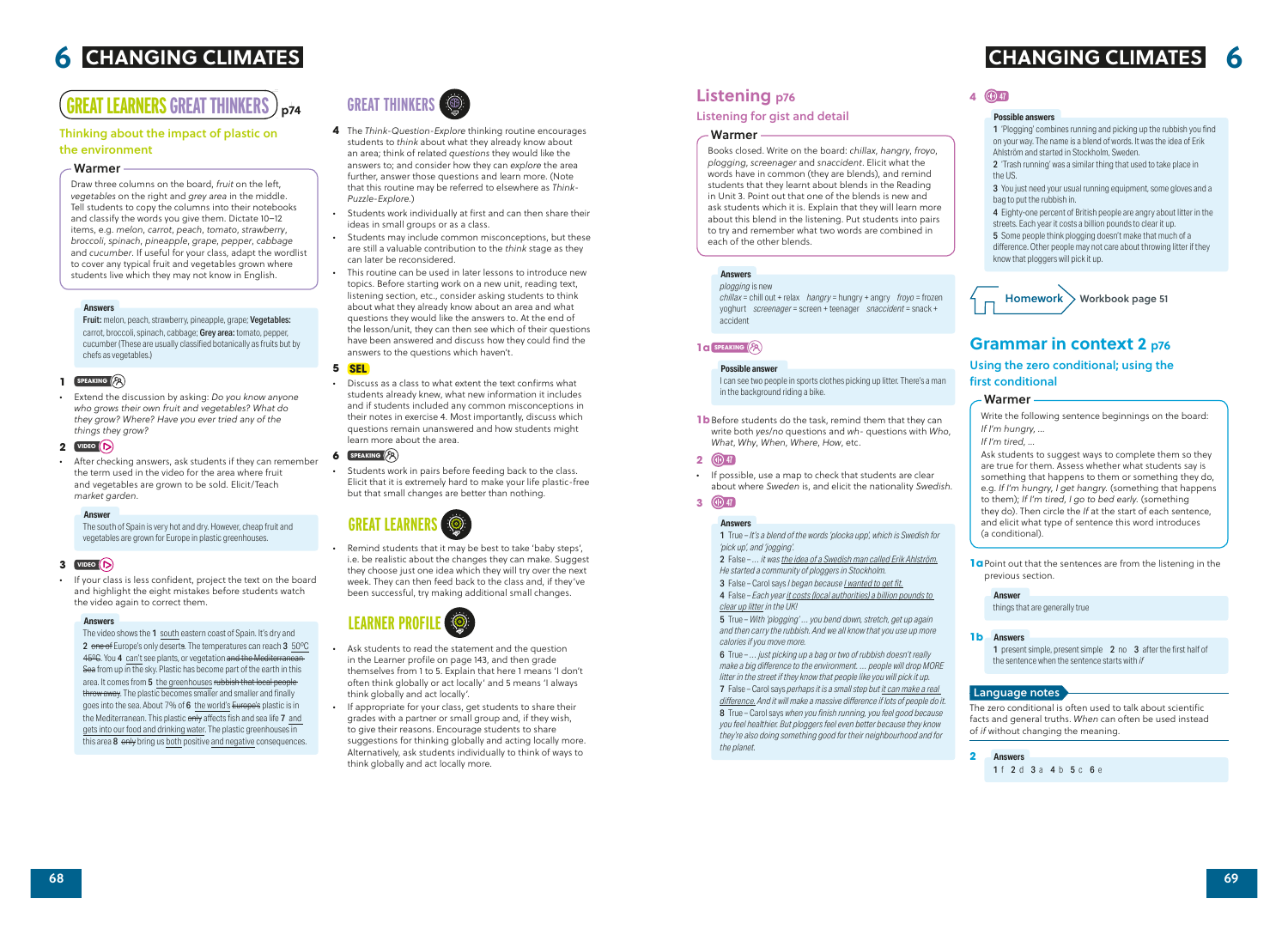# **GREAT LEARNERS GREAT THINKERS**  $\big)$  <sub>p74</sub>

# **GREAT THINKERS**

- **4** The *Think-Question-Explore* thinking routine encourages students to *think* about what they already know about an area; think of related *questions* they would like the answers to; and consider how they can *explore* the area further, answer those questions and learn more. (Note that this routine may be referred to elsewhere as *Think-Puzzle-Explore.*)
- *•* Students work individually at first and can then share their ideas in small groups or as a class.
- *•* Students may include common misconceptions, but these are still a valuable contribution to the *think* stage as they can later be reconsidered.
- *•* This routine can be used in later lessons to introduce new topics. Before starting work on a new unit, reading text, listening section, etc., consider asking students to think about what they already know about an area and what questions they would like the answers to. At the end of the lesson/unit, they can then see which of their questions have been answered and discuss how they could find the answers to the questions which haven't.

Remind students that it may be best to take 'baby steps', i.e. be realistic about the changes they can make. Suggest they choose just one idea which they will try over the next week. They can then feed back to the class and, if they've been successful, try making additional small changes.

#### **5 SEL**

*•* Discuss as a class to what extent the text confirms what students already knew, what new information it includes and if students included any common misconceptions in their notes in exercise 4. Most importantly, discuss which questions remain unanswered and how students might learn more about the area.

#### **6 SPEAKING** ( $^{5}$

*•* Students work in pairs before feeding back to the class. Elicit that it is extremely hard to make your life plastic-free but that small changes are better than nothing.

# **GREAT LEARNE**

Fruit: melon, peach, strawberry, pineapple, grape; Vegetables: carrot, broccoli, spinach, cabbage; Grey area: tomato, pepper, cucumber (These are usually classified botanically as fruits but by chefs as vegetables.)

#### **1 SPEAKING**

# **LEARNER PROFILE**

- *•* Ask students to read the statement and the question in the Learner profile on page 143, and then grade themselves from 1 to 5. Explain that here 1 means 'I don't often think globally or act locally' and 5 means 'I always think globally and act locally'.
- *•* If appropriate for your class, get students to share their grades with a partner or small group and, if they wish, to give their reasons. Encourage students to share suggestions for thinking globally and acting locally more. Alternatively, ask students individually to think of ways to think globally and act locally more.

3 You just need your usual running equipment, some gloves and a bag to put the rubbish in.

### Thinking about the impact of plastic on the environment

5 Some people think plogging doesn't make that much of a difference. Other people may not care about throwing litter if they know that ploggers will pick it up.

Draw three columns on the board, *fruit* on the left, *vegetables* on the right and *grey area* in the middle. Tell students to copy the columns into their notebooks and classify the words you give them. Dictate 10–12 items, e.g. *melon*, *carrot*, *peach*, *tomato*, *strawberry*, *broccoli*, *spinach*, *pineapple*, *grape*, *pepper*, *cabbage* and *cucumber*. If useful for your class, adapt the wordlist to cover any typical fruit and vegetables grown where students live which they may not know in English.

> **1a** Point out that the sentences are from the listening in the previous section.

#### Warmer

1 present simple, present simple 2 no 3 after the first half of the sentence when the sentence starts with *if*

#### **Answers**

*•* Extend the discussion by asking: *Do you know anyone who grows their own fruit and vegetables? What do they grow? Where? Have you ever tried any of the things they grow?*

#### **2 VIDEO**

*•* After checking answers, ask students if they can remember the term used in the video for the area where fruit and vegetables are grown to be sold. Elicit/Teach *market garden*.

**1b** Before students do the task, remind them that they can write both *yes*/*no* questions and *wh-* questions with *Who*, *What*, *Why*, *When*, *Where*, *How*, etc.

The south of Spain is very hot and dry. However, cheap fruit and vegetables are grown for Europe in plastic greenhouses.

#### **Answer**

#### **3 VIDEO**

*•* If your class is less confident, project the text on the board and highlight the eight mistakes before students watch the video again to correct them.

#### **Answers**

The video shows the 1 south eastern coast of Spain. It's dry and 2 one of Europe's only deserts. The temperatures can reach 3 50°C 45<sup>o</sup>C. You 4 can't see plants, or vegetation and the Mediterranean Sea from up in the sky. Plastic has become part of the earth in this area. It comes from 5 the greenhouses rubbish that local peoplethrow away. The plastic becomes smaller and smaller and finally goes into the sea. About 7% of 6 the world's Europe's plastic is in the Mediterranean. This plastic only affects fish and sea life 7 and gets into our food and drinking water. The plastic greenhouses in this area 8 only bring us both positive and negative consequences.

### **4 47**

1 'Plogging' combines running and picking up the rubbish you find on your way. The name is a blend of words. It was the idea of Erik Ahlström and started in Stockholm, Sweden.

2 'Trash running' was a similar thing that used to take place in the US.

4 Eighty-one percent of British people are angry about litter in the streets. Each year it costs a billion pounds to clear it up.

#### **Possible answers**



## **Grammar in context 2 p76**

Using the zero conditional; using the first conditional

Write the following sentence beginnings on the board: *If I'm hungry, …*

*If I'm tired, …*

Ask students to suggest ways to complete them so they are true for them. Assess whether what students say is something that happens to them or something they do, e.g. *If I'm hungry, I get hangry.* (something that happens to them); *If I'm tired, I go to bed early.* (something they do). Then circle the *If* at the start of each sentence, and elicit what type of sentence this word introduces (a conditional).

#### Warmer

things that are generally true

#### **Answer**

The zero conditional is often used to talk about scientific facts and general truths. *When* can often be used instead of *if* without changing the meaning.

#### **Answers 1b**



#### Language notes

# **Listening p76**

#### Listening for gist and detail

Books closed. Write on the board: *chillax*, *hangry*, *froyo*, *plogging*, *screenager* and *snaccident*. Elicit what the words have in common (they are blends), and remind students that they learnt about blends in the Reading in Unit 3. Point out that one of the blends is new and ask students which it is. Explain that they will learn more about this blend in the listening. Put students into pairs to try and remember what two words are combined in each of the other blends.

#### Warmer

*plogging* is new

*chillax* = chill out + relax *hangry* = hungry + angry *froyo* = frozen yoghurt *screenager* = screen + teenager *snaccident* = snack + accident

#### **Answers**

#### **1a SPEAKING**

I can see two people in sports clothes picking up litter. There's a man in the background riding a bike.

#### **Possible answer**

#### **2 47**

*•* If possible, use a map to check that students are clear about where *Sweden* is, and elicit the nationality *Swedish*.

## **3 47**

1 True – *It's a blend of the words 'plocka upp', which is Swedish for 'pick up', and 'jogging'.*

2 False – *… it was the idea of a Swedish man called Erik Ahlström. He started a community of ploggers in Stockholm.*

3 False – Carol says *I began because I wanted to get fit.*

4 False – *Each year it costs (local authorities) a billion pounds to clear up litter in the UK!*

5 True – *With 'plogging' … you bend down, stretch, get up again and then carry the rubbish. And we all know that you use up more calories if you move more.*

6 True – *… just picking up a bag or two of rubbish doesn't really make a big difference to the environment. … people will drop MORE litter in the street if they know that people like you will pick it up.*

7 False – Carol says *perhaps it is a small step but it can make a real difference. And it will make a massive difference if lots of people do it.* 8 True – Carol says *when you finish running, you feel good because* 

*you feel healthier. But ploggers feel even better because they know they're also doing something good for their neighbourhood and for the planet.*

#### **Answers**

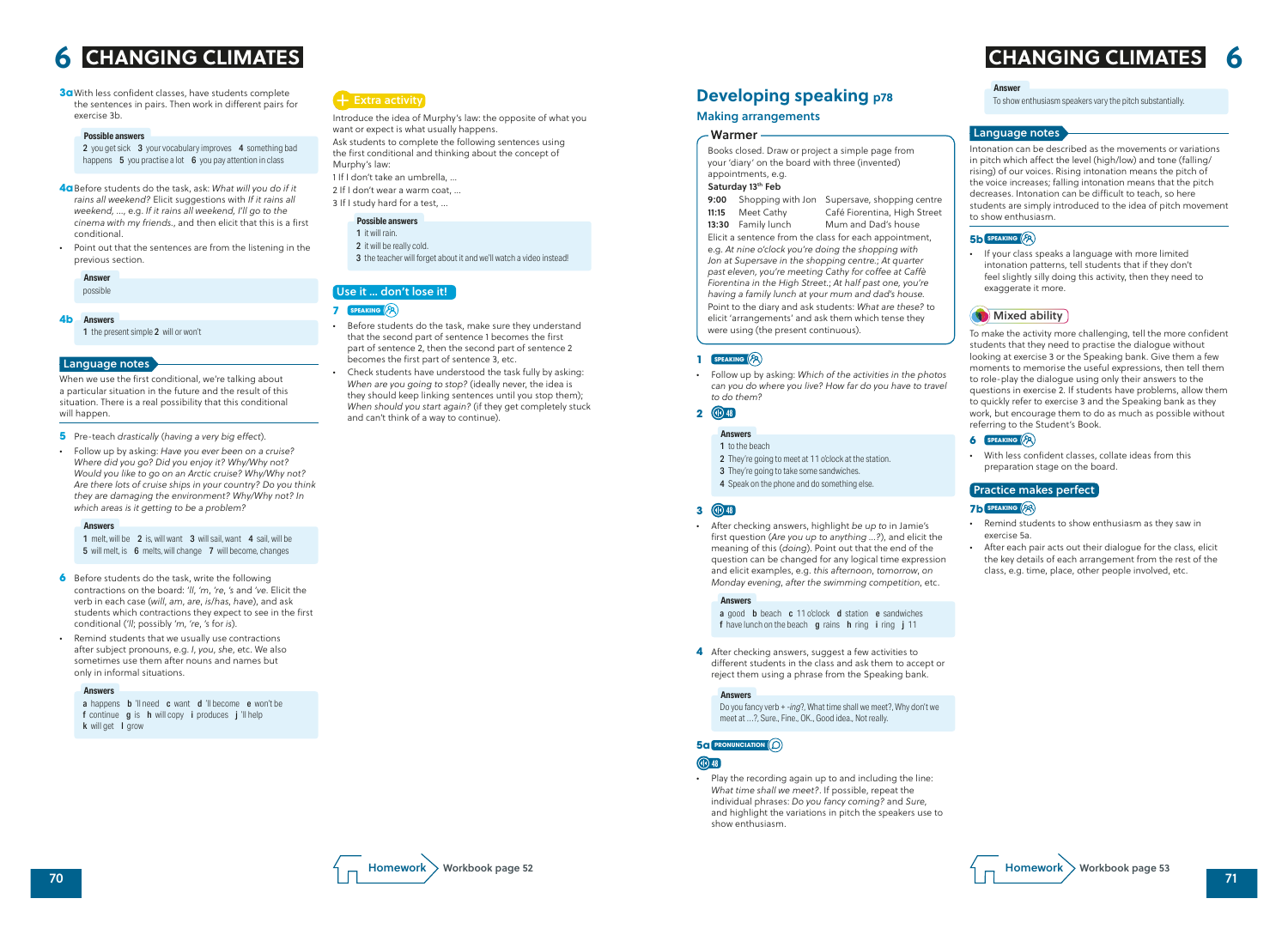

Introduce the idea of Murphy's law: the opposite of what you want or expect is what usually happens.

Ask students to complete the following sentences using the first conditional and thinking about the concept of Murphy's law:

- 1 If I don't take an umbrella, …
- 2 If I don't wear a warm coat, …
- 3 If I study hard for a test, …

#### **Possible answers**

- 1 it will rain.
- 2 it will be really cold.
- 3 the teacher will forget about it and we'll watch a video instead!

#### Use it … don't lose it!

#### **7 SPEAKING**

- *•* Before students do the task, make sure they understand that the second part of sentence 1 becomes the first part of sentence 2, then the second part of sentence 2 becomes the first part of sentence 3, etc.
- *•* Check students have understood the task fully by asking: *When are you going to stop?* (ideally never, the idea is they should keep linking sentences until you stop them); *When should you start again?* (if they get completely stuck and can't think of a way to continue).

**3a** With less confident classes, have students complete the sentences in pairs. Then work in different pairs for exercise 3b.

1 melt, will be 2 is, will want 3 will sail, want 4 sail, will be 5 will melt, is 6 melts, will change 7 will become, changes

#### **Possible answers**

2 you get sick 3 your vocabulary improves 4 something bad happens  $\overline{5}$  you practise a lot  $\overline{6}$  you pay attention in class

- **6** Before students do the task, write the following contractions on the board: *'ll*, *'m*, *'re*, *'s* and *'ve*. Elicit the verb in each case (*will*, *am*, *are*, *is*/*has*, *have*), and ask students which contractions they expect to see in the first conditional (*'ll*; possibly *'m*, *'re*, *'s* for *is*).
- *•* Remind students that we usually use contractions after subject pronouns, e.g. *I*, *you*, *she*, etc. We also sometimes use them after nouns and names but only in informal situations.
- **4a** Before students do the task, ask: *What will you do if it rains all weekend?* Elicit suggestions with *If it rains all weekend, …*, e.g. *If it rains all weekend, I'll go to the cinema with my friends.*, and then elicit that this is a first conditional.
- Point out that the sentences are from the listening in the previous section.

possible

#### **Answer**

When we use the first conditional, we're talking about a particular situation in the future and the result of this situation. There is a real possibility that this conditional will happen.

- **5** Pre-teach *drastically* (*having a very big effect*).
- *•* Follow up by asking: *Have you ever been on a cruise? Where did you go? Did you enjoy it? Why/Why not? Would you like to go on an Arctic cruise? Why/Why not? Are there lots of cruise ships in your country? Do you think they are damaging the environment? Why/Why not? In which areas is it getting to be a problem?*

#### **Answers 4b**

1 the present simple 2 will or won't

#### **Answers**

#### **Answers**

a happens **b** 'll need **c** want **d** 'll become **e** won't be f continue **g** is **h** will copy **i** produces **j** 'll help k will get I grow

### $+$  Extra activity

#### Language notes

To show enthusiasm speakers vary the pitch substantially.

#### **Answer**

- a good **b** beach **c** 11 o'clock **d** station **e** sandwiches f have lunch on the beach g rains h ring i ring j 11
- 
- **4** After checking answers, suggest a few activities to different students in the class and ask them to accept or reject them using a phrase from the Speaking bank.

Intonation can be described as the movements or variations in pitch which affect the level (high/low) and tone (falling/ rising) of our voices. Rising intonation means the pitch of the voice increases; falling intonation means that the pitch decreases. Intonation can be difficult to teach, so here students are simply introduced to the idea of pitch movement to show enthusiasm.

#### **5b SPEAKING**

*•* If your class speaks a language with more limited intonation patterns, tell students that if they don't feel slightly silly doing this activity, then they need to exaggerate it more.

#### **Mixed ability**

To make the activity more challenging, tell the more confident students that they need to practise the dialogue without looking at exercise 3 or the Speaking bank. Give them a few moments to memorise the useful expressions, then tell them to role-play the dialogue using only their answers to the questions in exercise 2. If students have problems, allow them to quickly refer to exercise 3 and the Speaking bank as they work, but encourage them to do as much as possible without referring to the Student's Book.

#### **6 SPEAKING**

*•* With less confident classes, collate ideas from this preparation stage on the board.

#### Practice makes perfect

#### **7b SPEAKING**

- *•* Remind students to show enthusiasm as they saw in exercise 5a.
- *•* After each pair acts out their dialogue for the class, elicit the key details of each arrangement from the rest of the class, e.g. time, place, other people involved, etc.

#### Language notes

# **Developing speaking p78**

#### Making arrangements

Books closed. Draw or project a simple page from your 'diary' on the board with three (invented) appointments, e.g.

#### Saturday 13th Feb

9:00 Shopping with Jon Supersave, shopping centre 11:15 Meet Cathy Café Fiorentina, High Street

13:30 Family lunch Mum and Dad's house

Elicit a sentence from the class for each appointment, e.g. *At nine o'clock you're doing the shopping with Jon at Supersave in the shopping centre.*; *At quarter past eleven, you're meeting Cathy for coffee at Caffè Fiorentina in the High Street.*; *At half past one, you're having a family lunch at your mum and dad's house.* Point to the diary and ask students: *What are these?* to elicit 'arrangements' and ask them which tense they were using (the present continuous).

#### **1 SPEAKING**

#### Warmer

*•* Follow up by asking: *Which of the activities in the photos can you do where you live? How far do you have to travel to do them?*

#### **2 48**

#### **Answers**

- 1 to the beach
- 2 They're going to meet at 11 o'clock at the station.
- 3 They're going to take some sandwiches.
- 4 Speak on the phone and do something else.

### **3 48**

*•* After checking answers, highlight *be up to* in Jamie's first question (*Are you up to anything …?*), and elicit the meaning of this (*doing*). Point out that the end of the question can be changed for any logical time expression and elicit examples, e.g. *this afternoon*, *tomorrow*, *on Monday evening*, *after the swimming competition*, etc.

#### **Answers**

Do you fancy verb + *-ing*?, What time shall we meet?, Why don't we meet at …?, Sure., Fine., OK., Good idea., Not really.

#### **Answers**

### **5a PRONUNCIATION**

### **(11)** 48

*•* Play the recording again up to and including the line: *What time shall we meet?*. If possible, repeat the individual phrases: *Do you fancy coming?* and *Sure*, and highlight the variations in pitch the speakers use to show enthusiasm.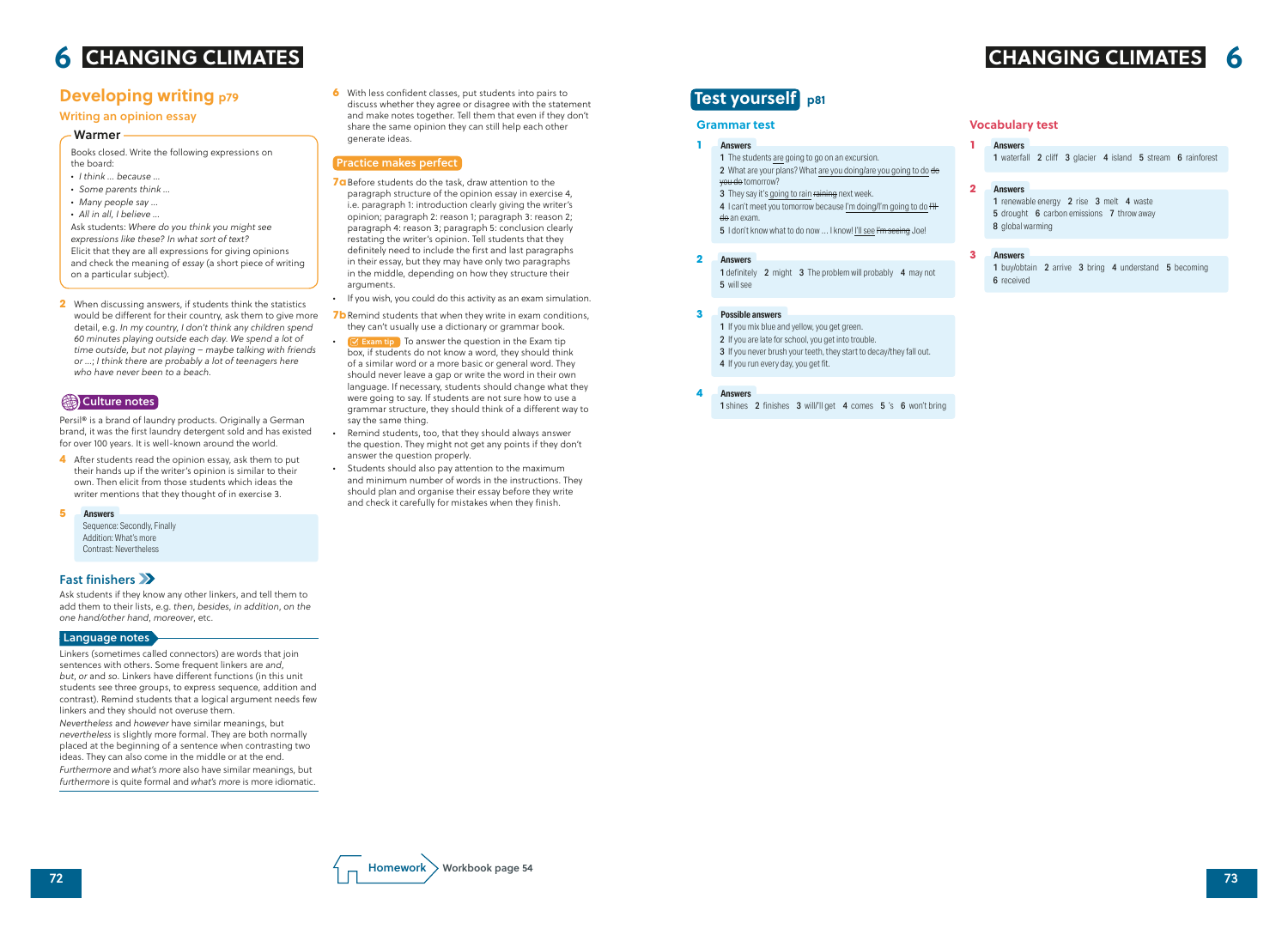**6** With less confident classes, put students into pairs to discuss whether they agree or disagree with the statement and make notes together. Tell them that even if they don't share the same opinion they can still help each other generate ideas.

### Practice makes perfect

- **7a** Before students do the task, draw attention to the paragraph structure of the opinion essay in exercise 4, i.e. paragraph 1: introduction clearly giving the writer's opinion; paragraph 2: reason 1; paragraph 3: reason 2; paragraph 4: reason 3; paragraph 5: conclusion clearly restating the writer's opinion. Tell students that they definitely need to include the first and last paragraphs in their essay, but they may have only two paragraphs in the middle, depending on how they structure their arguments.
- *•* If you wish, you could do this activity as an exam simulation.
- **7b** Remind students that when they write in exam conditions, they can't usually use a dictionary or grammar book.
- **•** Exam tip To answer the question in the Exam tip box, if students do not know a word, they should think of a similar word or a more basic or general word. They should never leave a gap or write the word in their own language. If necessary, students should change what they were going to say. If students are not sure how to use a grammar structure, they should think of a different way to say the same thing.
- *•* Remind students, too, that they should always answer the question. They might not get any points if they don't answer the question properly.
- *•* Students should also pay attention to the maximum and minimum number of words in the instructions. They should plan and organise their essay before they write and check it carefully for mistakes when they finish.

# **Developing writing p79**

### Writing an opinion essay

Books closed. Write the following expressions on the board:

- *• I think … because …*
- *• Some parents think …*
- *• Many people say …*
- *• All in all, I believe …*

Ask students: *Where do you think you might see expressions like these? In what sort of text?* Elicit that they are all expressions for giving opinions and check the meaning of *essay* (a short piece of writing on a particular subject).

- 1 renewable energy 2 rise 3 melt 4 waste
- 5 drought 6 carbon emissions 7 throw away
- 8 global warming

- 1 buy/obtain 2 arrive 3 bring 4 understand 5 becoming
- 6 received

#### Warmer

1 definitely 2 might 3 The problem will probably 4 may not 5 will see

**2** When discussing answers, if students think the statistics would be different for their country, ask them to give more detail, e.g. *In my country, I don't think any children spend 60 minutes playing outside each day. We spend a lot of time outside, but not playing – maybe talking with friends or …*; *I think there are probably a lot of teenagers here who have never been to a beach.*

### Culture notes

Persil® is a brand of laundry products. Originally a German brand, it was the first laundry detergent sold and has existed for over 100 years. It is well-known around the world.

**4** After students read the opinion essay, ask them to put their hands up if the writer's opinion is similar to their own. Then elicit from those students which ideas the writer mentions that they thought of in exercise 3.

Sequence: Secondly, Finally Addition: What's more Contrast: Nevertheless

### Fast finishers

Ask students if they know any other linkers, and tell them to add them to their lists, e.g. *then*, *besides*, *in addition*, *on the one hand/other hand*, *moreover*, etc.

#### **Language notes**

Linkers (sometimes called connectors) are words that join sentences with others. Some frequent linkers are *and*, *but*, *or* and *so*. Linkers have different functions (in this unit students see three groups, to express sequence, addition and contrast). Remind students that a logical argument needs few linkers and they should not overuse them.

#### **Answers 5**

*Nevertheless* and *however* have similar meanings, but *nevertheless* is slightly more formal. They are both normally placed at the beginning of a sentence when contrasting two ideas. They can also come in the middle or at the end.

*Furthermore* and *what's more* also have similar meanings, but *furthermore* is quite formal and *what's more* is more idiomatic.



#### **Answers 1**

1 waterfall 2 cliff 3 glacier 4 island 5 stream 6 rainforest

#### **Answers 2**

#### **Answers 3**

#### **Grammar test**

#### **Answers 1**

- 1 The students are going to go on an excursion.
- 2 What are your plans? What are you doing/are you going to do do
- you do tomorrow?
- 3 They say it's going to rain raining next week.
- 4 I can't meet you tomorrow because I'm doing/I'm going to do  $H$ <del>do</del> an exam.
- 5 I don't know what to do now ... I know! I'll see I'm seeing Joe!

#### **Answers 2**

#### **Possible answers 3**

1 shines 2 finishes 3 will/'ll get 4 comes 5 's 6 won't bring

- 1 If you mix blue and yellow, you get green.
- 2 If you are late for school, you get into trouble.
- 3 If you never brush your teeth, they start to decay/they fall out.
- 4 If you run every day, you get fit.

#### **Answers 4**

# **Test yourself p81**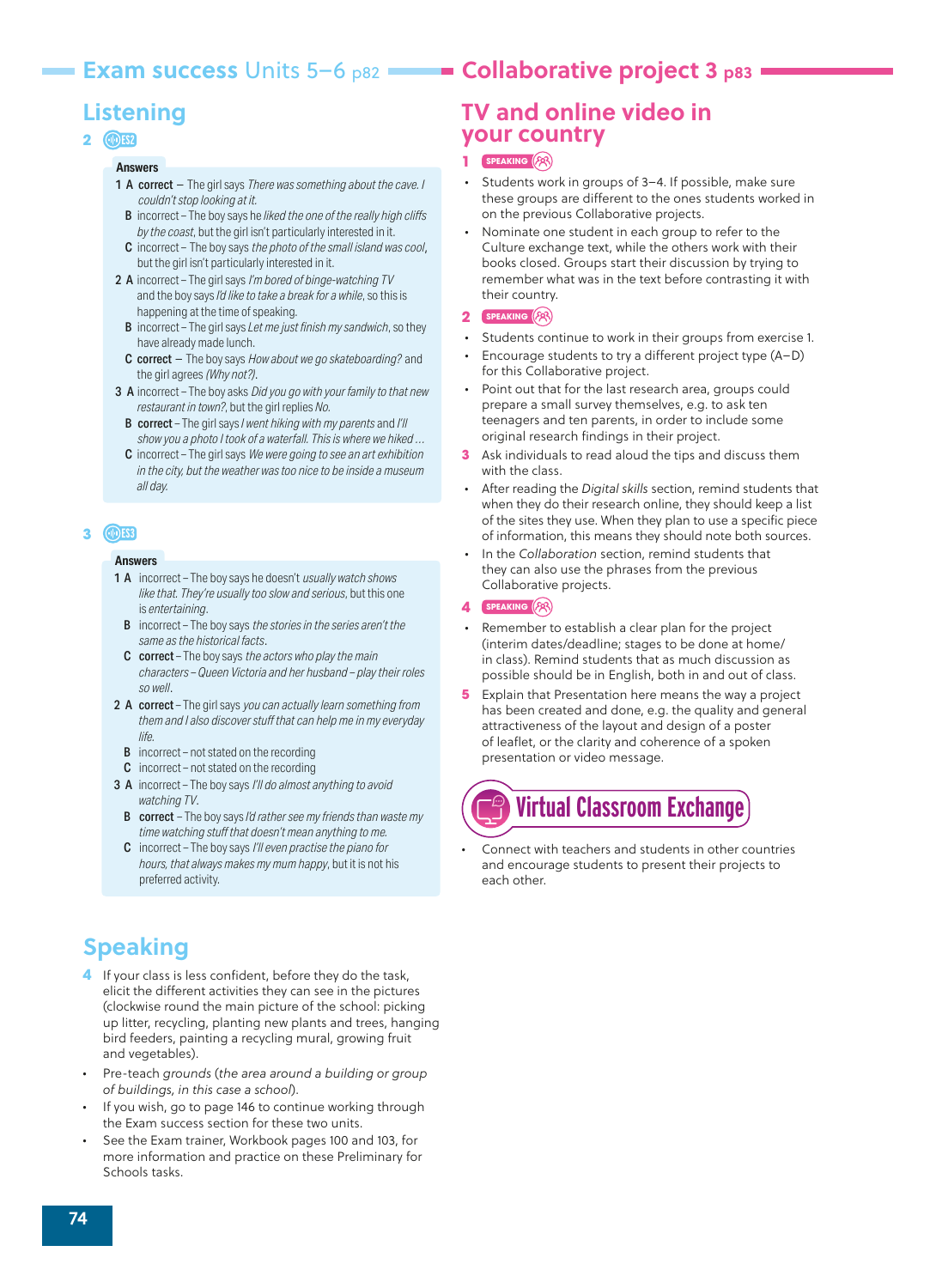## **Exam success Units 5–6 p82 <br>Collaborative project 3 p83**

# **Listening**

### **2 ES2**

#### **Answers**

- 1 A correct The girl says *There was something about the cave. I couldn't stop looking at it.*
	- B  incorrect The boy says he *liked the one of the really high cliffs by the coast*, but the girl isn't particularly interested in it.
	- C incorrect The boy says *the photo of the small island was cool*, but the girl isn't particularly interested in it.
- 2 A incorrect The girl says *I'm bored of binge-watching TV* and the boy says *I'd like to take a break for a while*, so this is happening at the time of speaking.
	- B  incorrect The girl says *Let me just finish my sandwich*, so they have already made lunch.
	- C correct The boy says *How about we go skateboarding?* and the girl agrees *(Why not?)*.
- 3 A incorrect The boy asks *Did you go with your family to that new restaurant in town?*, but the girl replies *No.*
	- B  correct The girl says *I went hiking with my parents* and *I'll show you a photo I took of a waterfall. This is where we hiked …*
	- C incorrect The girl says *We were going to see an art exhibition in the city, but the weather was too nice to be inside a museum all day.*

### **3 ES3**

#### **Answers**

- 1 A incorrect The boy says he doesn't *usually watch shows like that. They're usually too slow and serious*, but this one is *entertaining*.
	- B     incorrect The boy says *the stories in the series aren't the same as the historical facts*.
	- C correct The boy says *the actors who play the main characters – Queen Victoria and her husband – play their roles so well*.
- 2 A correct The girl says *you can actually learn something from them and I also discover stuff that can help me in my everyday life.*
	- **B** incorrect not stated on the recording
	- C incorrect not stated on the recording
- 3 A incorrect The boy says *I'll do almost anything to avoid watching TV*.
	- B  correct The boy says *I'd rather see my friends than waste my time watching stuff that doesn't mean anything to me.*
	- C incorrect The boy says *I'll even practise the piano for hours, that always makes my mum happy*, but it is not his preferred activity.

# **Speaking**

- **4** If your class is less confident, before they do the task, elicit the different activities they can see in the pictures (clockwise round the main picture of the school: picking up litter, recycling, planting new plants and trees, hanging bird feeders, painting a recycling mural, growing fruit and vegetables).
- Pre-teach *grounds* (*the area around a building or group of buildings, in this case a school*).
- If you wish, go to page 146 to continue working through the Exam success section for these two units.
- See the Exam trainer, Workbook pages 100 and 103, for more information and practice on these Preliminary for Schools tasks.

# **TV and online video in your country**

#### **1 SPEAKING**

- Students work in groups of 3–4. If possible, make sure these groups are different to the ones students worked in on the previous Collaborative projects.
- Nominate one student in each group to refer to the Culture exchange text, while the others work with their books closed. Groups start their discussion by trying to remember what was in the text before contrasting it with their country.

#### **2 SPEAKING** ( $\binom{5}{5}$

- Students continue to work in their groups from exercise 1.
- Encourage students to try a different project type (A–D) for this Collaborative project.
- Point out that for the last research area, groups could prepare a small survey themselves, e.g. to ask ten teenagers and ten parents, in order to include some original research findings in their project.
- **3** Ask individuals to read aloud the tips and discuss them with the class.
- After reading the *Digital skills* section, remind students that when they do their research online, they should keep a list of the sites they use. When they plan to use a specific piece of information, this means they should note both sources.
- In the *Collaboration* section, remind students that they can also use the phrases from the previous Collaborative projects.
- **4 SPEAKING**
- Remember to establish a clear plan for the project (interim dates/deadline; stages to be done at home/ in class). Remind students that as much discussion as possible should be in English, both in and out of class.
- **5** Explain that Presentation here means the way a project has been created and done, e.g. the quality and general attractiveness of the layout and design of a poster of leaflet, or the clarity and coherence of a spoken presentation or video message.



*•* Connect with teachers and students in other countries and encourage students to present their projects to each other.